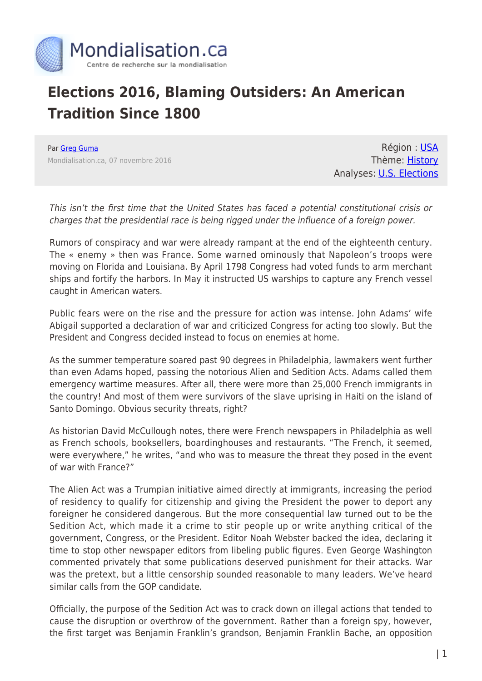

## **Elections 2016, Blaming Outsiders: An American Tradition Since 1800**

Par [Greg Guma](https://www.mondialisation.ca/author/greg-guma) Mondialisation.ca, 07 novembre 2016

Région : [USA](https://www.mondialisation.ca/region/usa) Thème: [History](https://www.mondialisation.ca/theme/culture-society-history) Analyses: **[U.S. Elections](https://www.mondialisation.ca/indepthreport/u-s-elections)** 

This isn't the first time that the United States has faced a potential constitutional crisis or charges that the presidential race is being rigged under the influence of a foreign power.

Rumors of conspiracy and war were already rampant at the end of the eighteenth century. The « enemy » then was France. Some warned ominously that Napoleon's troops were moving on Florida and Louisiana. By April 1798 Congress had voted funds to arm merchant ships and fortify the harbors. In May it instructed US warships to capture any French vessel caught in American waters.

Public fears were on the rise and the pressure for action was intense. John Adams' wife Abigail supported a declaration of war and criticized Congress for acting too slowly. But the President and Congress decided instead to focus on enemies at home.

As the summer temperature soared past 90 degrees in Philadelphia, lawmakers went further than even Adams hoped, passing the notorious Alien and Sedition Acts. Adams called them emergency wartime measures. After all, there were more than 25,000 French immigrants in the country! And most of them were survivors of the slave uprising in Haiti on the island of Santo Domingo. Obvious security threats, right?

As historian David McCullough notes, there were French newspapers in Philadelphia as well as French schools, booksellers, boardinghouses and restaurants. "The French, it seemed, were everywhere," he writes, "and who was to measure the threat they posed in the event of war with France?"

The Alien Act was a Trumpian initiative aimed directly at immigrants, increasing the period of residency to qualify for citizenship and giving the President the power to deport any foreigner he considered dangerous. But the more consequential law turned out to be the Sedition Act, which made it a crime to stir people up or write anything critical of the government, Congress, or the President. Editor Noah Webster backed the idea, declaring it time to stop other newspaper editors from libeling public figures. Even George Washington commented privately that some publications deserved punishment for their attacks. War was the pretext, but a little censorship sounded reasonable to many leaders. We've heard similar calls from the GOP candidate.

Officially, the purpose of the Sedition Act was to crack down on illegal actions that tended to cause the disruption or overthrow of the government. Rather than a foreign spy, however, the first target was Benjamin Franklin's grandson, Benjamin Franklin Bache, an opposition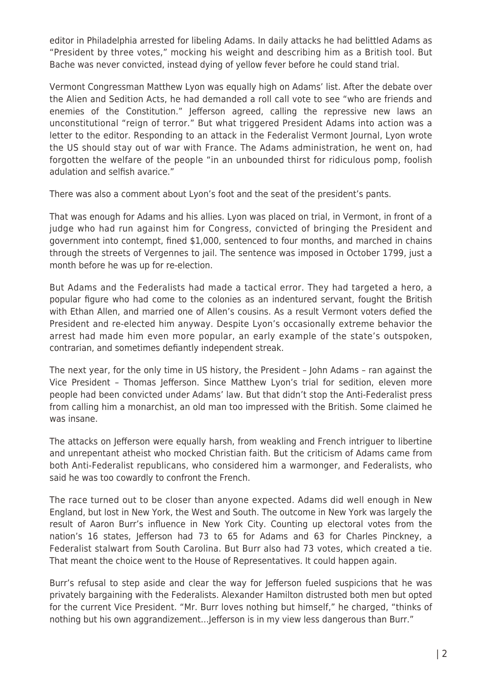editor in Philadelphia arrested for libeling Adams. In daily attacks he had belittled Adams as "President by three votes," mocking his weight and describing him as a British tool. But Bache was never convicted, instead dying of yellow fever before he could stand trial.

Vermont Congressman Matthew Lyon was equally high on Adams' list. After the debate over the Alien and Sedition Acts, he had demanded a roll call vote to see "who are friends and enemies of the Constitution." Jefferson agreed, calling the repressive new laws an unconstitutional "reign of terror." But what triggered President Adams into action was a letter to the editor. Responding to an attack in the Federalist Vermont Journal, Lyon wrote the US should stay out of war with France. The Adams administration, he went on, had forgotten the welfare of the people "in an unbounded thirst for ridiculous pomp, foolish adulation and selfish avarice."

There was also a comment about Lyon's foot and the seat of the president's pants.

That was enough for Adams and his allies. Lyon was placed on trial, in Vermont, in front of a judge who had run against him for Congress, convicted of bringing the President and government into contempt, fined \$1,000, sentenced to four months, and marched in chains through the streets of Vergennes to jail. The sentence was imposed in October 1799, just a month before he was up for re-election.

But Adams and the Federalists had made a tactical error. They had targeted a hero, a popular figure who had come to the colonies as an indentured servant, fought the British with Ethan Allen, and married one of Allen's cousins. As a result Vermont voters defied the President and re-elected him anyway. Despite Lyon's occasionally extreme behavior the arrest had made him even more popular, an early example of the state's outspoken, contrarian, and sometimes defiantly independent streak.

The next year, for the only time in US history, the President – John Adams – ran against the Vice President – Thomas Jefferson. Since Matthew Lyon's trial for sedition, eleven more people had been convicted under Adams' law. But that didn't stop the Anti-Federalist press from calling him a monarchist, an old man too impressed with the British. Some claimed he was insane.

The attacks on Jefferson were equally harsh, from weakling and French intriguer to libertine and unrepentant atheist who mocked Christian faith. But the criticism of Adams came from both Anti-Federalist republicans, who considered him a warmonger, and Federalists, who said he was too cowardly to confront the French.

The race turned out to be closer than anyone expected. Adams did well enough in New England, but lost in New York, the West and South. The outcome in New York was largely the result of Aaron Burr's influence in New York City. Counting up electoral votes from the nation's 16 states, Jefferson had 73 to 65 for Adams and 63 for Charles Pinckney, a Federalist stalwart from South Carolina. But Burr also had 73 votes, which created a tie. That meant the choice went to the House of Representatives. It could happen again.

Burr's refusal to step aside and clear the way for Jefferson fueled suspicions that he was privately bargaining with the Federalists. Alexander Hamilton distrusted both men but opted for the current Vice President. "Mr. Burr loves nothing but himself," he charged, "thinks of nothing but his own aggrandizement…Jefferson is in my view less dangerous than Burr."